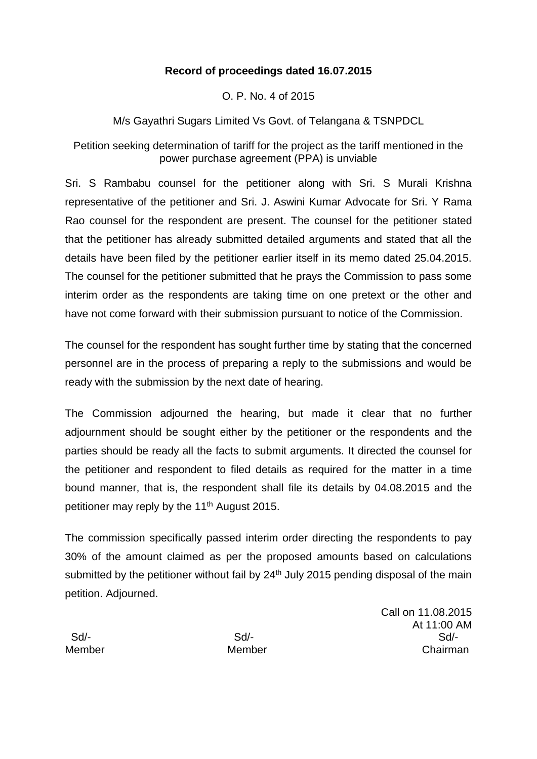## **Record of proceedings dated 16.07.2015**

O. P. No. 4 of 2015

M/s Gayathri Sugars Limited Vs Govt. of Telangana & TSNPDCL

Petition seeking determination of tariff for the project as the tariff mentioned in the power purchase agreement (PPA) is unviable

Sri. S Rambabu counsel for the petitioner along with Sri. S Murali Krishna representative of the petitioner and Sri. J. Aswini Kumar Advocate for Sri. Y Rama Rao counsel for the respondent are present. The counsel for the petitioner stated that the petitioner has already submitted detailed arguments and stated that all the details have been filed by the petitioner earlier itself in its memo dated 25.04.2015. The counsel for the petitioner submitted that he prays the Commission to pass some interim order as the respondents are taking time on one pretext or the other and have not come forward with their submission pursuant to notice of the Commission.

The counsel for the respondent has sought further time by stating that the concerned personnel are in the process of preparing a reply to the submissions and would be ready with the submission by the next date of hearing.

The Commission adjourned the hearing, but made it clear that no further adjournment should be sought either by the petitioner or the respondents and the parties should be ready all the facts to submit arguments. It directed the counsel for the petitioner and respondent to filed details as required for the matter in a time bound manner, that is, the respondent shall file its details by 04.08.2015 and the petitioner may reply by the 11<sup>th</sup> August 2015.

The commission specifically passed interim order directing the respondents to pay 30% of the amount claimed as per the proposed amounts based on calculations submitted by the petitioner without fail by  $24<sup>th</sup>$  July 2015 pending disposal of the main petition. Adjourned.

Call on 11.08.2015 At 11:00 AM Sd/- Sd/- Sd/- Member Member Chairman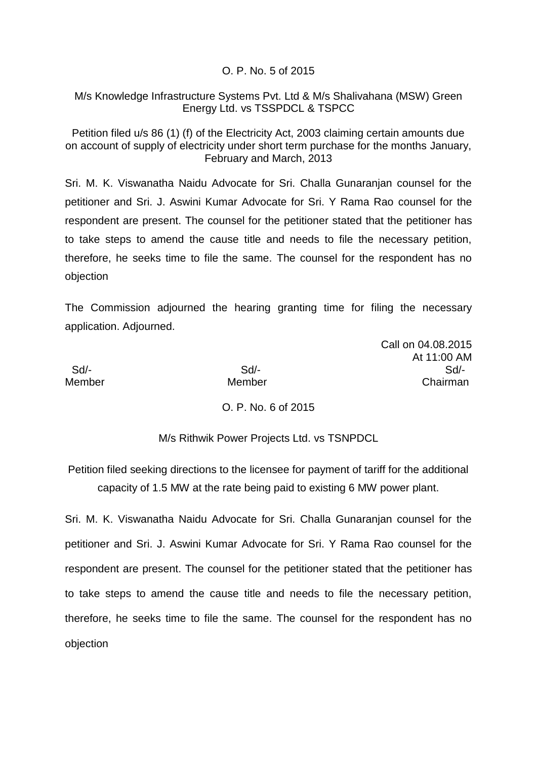### O. P. No. 5 of 2015

### M/s Knowledge Infrastructure Systems Pvt. Ltd & M/s Shalivahana (MSW) Green Energy Ltd. vs TSSPDCL & TSPCC

Petition filed u/s 86 (1) (f) of the Electricity Act, 2003 claiming certain amounts due on account of supply of electricity under short term purchase for the months January, February and March, 2013

Sri. M. K. Viswanatha Naidu Advocate for Sri. Challa Gunaranjan counsel for the petitioner and Sri. J. Aswini Kumar Advocate for Sri. Y Rama Rao counsel for the respondent are present. The counsel for the petitioner stated that the petitioner has to take steps to amend the cause title and needs to file the necessary petition, therefore, he seeks time to file the same. The counsel for the respondent has no objection

The Commission adjourned the hearing granting time for filing the necessary application. Adjourned.

Call on 04.08.2015 At 11:00 AM Sd/- Sd/- Sd/- Member Member Chairman

## O. P. No. 6 of 2015

M/s Rithwik Power Projects Ltd. vs TSNPDCL

Petition filed seeking directions to the licensee for payment of tariff for the additional capacity of 1.5 MW at the rate being paid to existing 6 MW power plant.

Sri. M. K. Viswanatha Naidu Advocate for Sri. Challa Gunaranjan counsel for the petitioner and Sri. J. Aswini Kumar Advocate for Sri. Y Rama Rao counsel for the respondent are present. The counsel for the petitioner stated that the petitioner has to take steps to amend the cause title and needs to file the necessary petition, therefore, he seeks time to file the same. The counsel for the respondent has no objection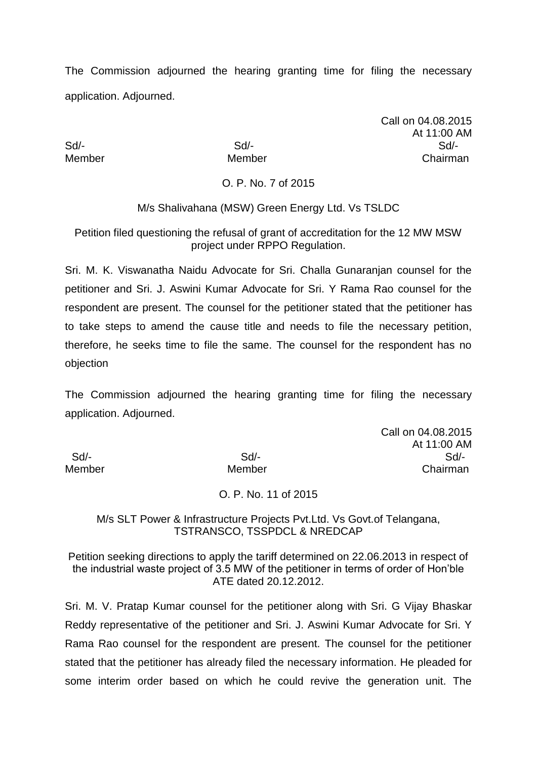The Commission adjourned the hearing granting time for filing the necessary application. Adjourned.

Call on 04.08.2015 At 11:00 AM Sd/- Sd/- Sd/- Member Member Chairman

O. P. No. 7 of 2015

M/s Shalivahana (MSW) Green Energy Ltd. Vs TSLDC

Petition filed questioning the refusal of grant of accreditation for the 12 MW MSW project under RPPO Regulation.

Sri. M. K. Viswanatha Naidu Advocate for Sri. Challa Gunaranjan counsel for the petitioner and Sri. J. Aswini Kumar Advocate for Sri. Y Rama Rao counsel for the respondent are present. The counsel for the petitioner stated that the petitioner has to take steps to amend the cause title and needs to file the necessary petition, therefore, he seeks time to file the same. The counsel for the respondent has no objection

The Commission adjourned the hearing granting time for filing the necessary application. Adjourned.

Call on 04.08.2015 At 11:00 AM Sd/- Sd/- Sd/- Member Member Chairman

O. P. No. 11 of 2015

M/s SLT Power & Infrastructure Projects Pvt.Ltd. Vs Govt.of Telangana, TSTRANSCO, TSSPDCL & NREDCAP

Petition seeking directions to apply the tariff determined on 22.06.2013 in respect of the industrial waste project of 3.5 MW of the petitioner in terms of order of Hon'ble ATE dated 20.12.2012.

Sri. M. V. Pratap Kumar counsel for the petitioner along with Sri. G Vijay Bhaskar Reddy representative of the petitioner and Sri. J. Aswini Kumar Advocate for Sri. Y Rama Rao counsel for the respondent are present. The counsel for the petitioner stated that the petitioner has already filed the necessary information. He pleaded for some interim order based on which he could revive the generation unit. The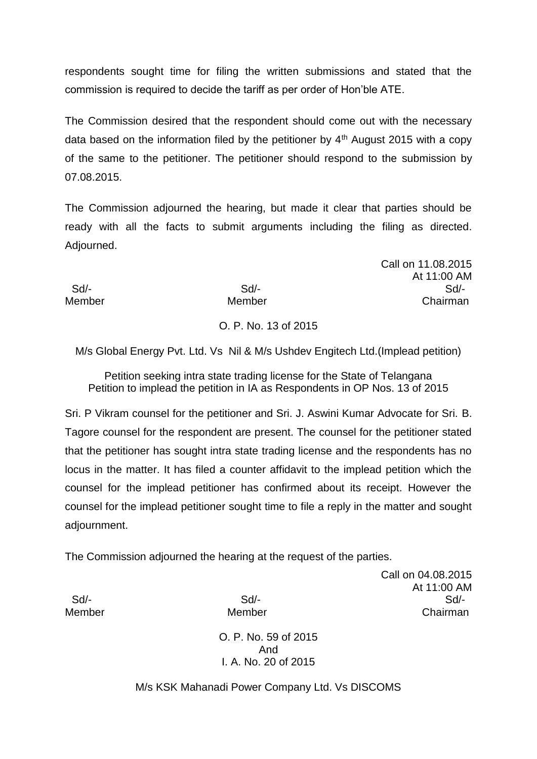respondents sought time for filing the written submissions and stated that the commission is required to decide the tariff as per order of Hon'ble ATE.

The Commission desired that the respondent should come out with the necessary data based on the information filed by the petitioner by  $4<sup>th</sup>$  August 2015 with a copy of the same to the petitioner. The petitioner should respond to the submission by 07.08.2015.

The Commission adjourned the hearing, but made it clear that parties should be ready with all the facts to submit arguments including the filing as directed. Adjourned.

Sd/- Sd/- Sd/- Member Member Chairman

# O. P. No. 13 of 2015

M/s Global Energy Pvt. Ltd. Vs Nil & M/s Ushdev Engitech Ltd.(Implead petition)

Petition seeking intra state trading license for the State of Telangana Petition to implead the petition in IA as Respondents in OP Nos. 13 of 2015

Sri. P Vikram counsel for the petitioner and Sri. J. Aswini Kumar Advocate for Sri. B. Tagore counsel for the respondent are present. The counsel for the petitioner stated that the petitioner has sought intra state trading license and the respondents has no locus in the matter. It has filed a counter affidavit to the implead petition which the counsel for the implead petitioner has confirmed about its receipt. However the counsel for the implead petitioner sought time to file a reply in the matter and sought adjournment.

The Commission adjourned the hearing at the request of the parties.

Call on 04.08.2015 At 11:00 AM Sd/- Sd/- Sd/- Member Member Chairman

Call on 11.08.2015

At 11:00 AM

O. P. No. 59 of 2015 And I. A. No. 20 of 2015

M/s KSK Mahanadi Power Company Ltd. Vs DISCOMS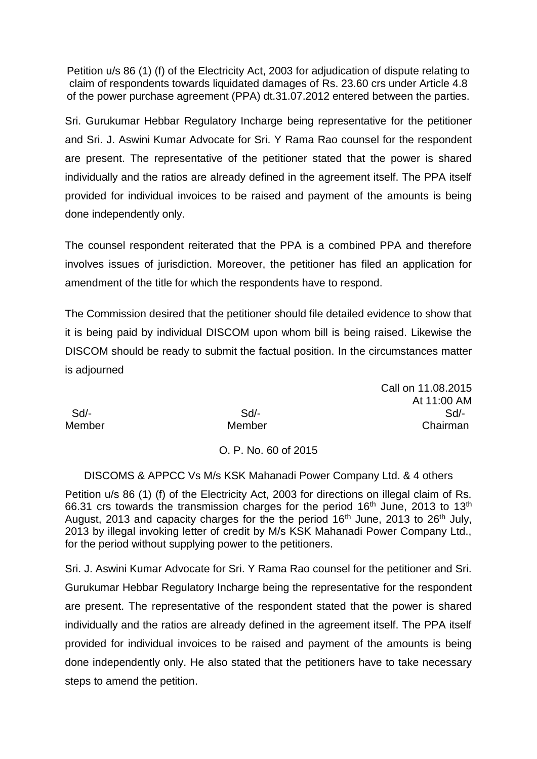Petition u/s 86 (1) (f) of the Electricity Act, 2003 for adjudication of dispute relating to claim of respondents towards liquidated damages of Rs. 23.60 crs under Article 4.8 of the power purchase agreement (PPA) dt.31.07.2012 entered between the parties.

Sri. Gurukumar Hebbar Regulatory Incharge being representative for the petitioner and Sri. J. Aswini Kumar Advocate for Sri. Y Rama Rao counsel for the respondent are present. The representative of the petitioner stated that the power is shared individually and the ratios are already defined in the agreement itself. The PPA itself provided for individual invoices to be raised and payment of the amounts is being done independently only.

The counsel respondent reiterated that the PPA is a combined PPA and therefore involves issues of jurisdiction. Moreover, the petitioner has filed an application for amendment of the title for which the respondents have to respond.

The Commission desired that the petitioner should file detailed evidence to show that it is being paid by individual DISCOM upon whom bill is being raised. Likewise the DISCOM should be ready to submit the factual position. In the circumstances matter is adjourned

Call on 11.08.2015 At 11:00 AM Sd/- Sd/- Sd/- Member Member Chairman

# O. P. No. 60 of 2015

DISCOMS & APPCC Vs M/s KSK Mahanadi Power Company Ltd. & 4 others

Petition u/s 86 (1) (f) of the Electricity Act, 2003 for directions on illegal claim of Rs. 66.31 crs towards the transmission charges for the period  $16<sup>th</sup>$  June, 2013 to  $13<sup>th</sup>$ August, 2013 and capacity charges for the the period  $16<sup>th</sup>$  June, 2013 to 26<sup>th</sup> July, 2013 by illegal invoking letter of credit by M/s KSK Mahanadi Power Company Ltd., for the period without supplying power to the petitioners.

Sri. J. Aswini Kumar Advocate for Sri. Y Rama Rao counsel for the petitioner and Sri. Gurukumar Hebbar Regulatory Incharge being the representative for the respondent are present. The representative of the respondent stated that the power is shared individually and the ratios are already defined in the agreement itself. The PPA itself provided for individual invoices to be raised and payment of the amounts is being done independently only. He also stated that the petitioners have to take necessary steps to amend the petition.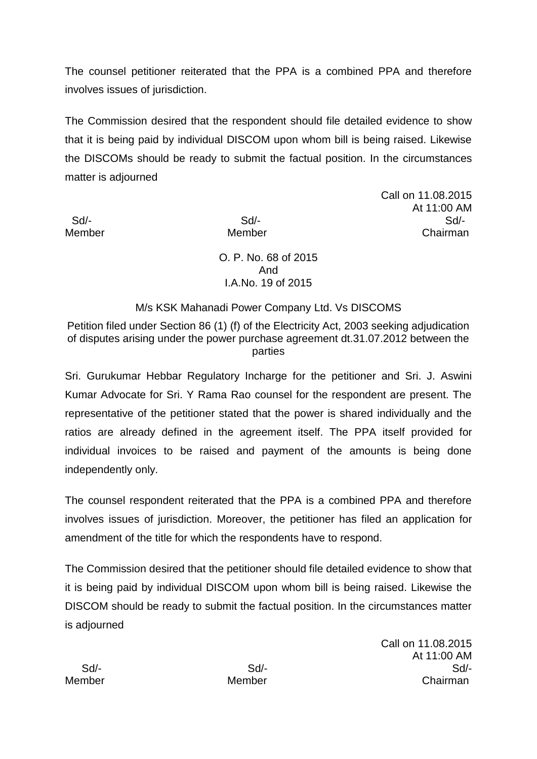The counsel petitioner reiterated that the PPA is a combined PPA and therefore involves issues of jurisdiction.

The Commission desired that the respondent should file detailed evidence to show that it is being paid by individual DISCOM upon whom bill is being raised. Likewise the DISCOMs should be ready to submit the factual position. In the circumstances matter is adjourned

Call on 11.08.2015 At 11:00 AM Sd/- Sd/- Sd/- Member Member Chairman

> O. P. No. 68 of 2015 And I.A.No. 19 of 2015

# M/s KSK Mahanadi Power Company Ltd. Vs DISCOMS

Petition filed under Section 86 (1) (f) of the Electricity Act, 2003 seeking adjudication of disputes arising under the power purchase agreement dt.31.07.2012 between the parties

Sri. Gurukumar Hebbar Regulatory Incharge for the petitioner and Sri. J. Aswini Kumar Advocate for Sri. Y Rama Rao counsel for the respondent are present. The representative of the petitioner stated that the power is shared individually and the ratios are already defined in the agreement itself. The PPA itself provided for individual invoices to be raised and payment of the amounts is being done independently only.

The counsel respondent reiterated that the PPA is a combined PPA and therefore involves issues of jurisdiction. Moreover, the petitioner has filed an application for amendment of the title for which the respondents have to respond.

The Commission desired that the petitioner should file detailed evidence to show that it is being paid by individual DISCOM upon whom bill is being raised. Likewise the DISCOM should be ready to submit the factual position. In the circumstances matter is adjourned

Call on 11.08.2015 At 11:00 AM Sd/- Sd/- Sd/- Member Member Chairman